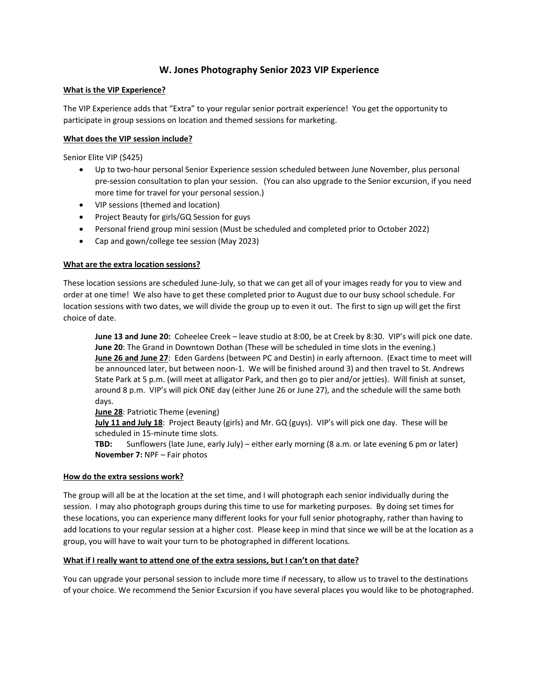# **W. Jones Photography Senior 2023 VIP Experience**

#### **What is the VIP Experience?**

The VIP Experience adds that "Extra" to your regular senior portrait experience! You get the opportunity to participate in group sessions on location and themed sessions for marketing.

#### **What does the VIP session include?**

Senior Elite VIP (\$425)

- Up to two-hour personal Senior Experience session scheduled between June November, plus personal pre-session consultation to plan your session. (You can also upgrade to the Senior excursion, if you need more time for travel for your personal session.)
- VIP sessions (themed and location)
- Project Beauty for girls/GQ Session for guys
- Personal friend group mini session (Must be scheduled and completed prior to October 2022)
- Cap and gown/college tee session (May 2023)

### **What are the extra location sessions?**

These location sessions are scheduled June-July, so that we can get all of your images ready for you to view and order at one time! We also have to get these completed prior to August due to our busy school schedule. For location sessions with two dates, we will divide the group up to even it out. The first to sign up will get the first choice of date.

**June 13 and June 20:** Coheelee Creek – leave studio at 8:00, be at Creek by 8:30. VIP's will pick one date. **June 20**: The Grand in Downtown Dothan (These will be scheduled in time slots in the evening.) **June 26 and June 27**: Eden Gardens (between PC and Destin) in early afternoon. (Exact time to meet will be announced later, but between noon-1. We will be finished around 3) and then travel to St. Andrews State Park at 5 p.m. (will meet at alligator Park, and then go to pier and/or jetties). Will finish at sunset, around 8 p.m. VIP's will pick ONE day (either June 26 or June 27), and the schedule will the same both days.

**June 28**: Patriotic Theme (evening)

**July 11 and July 18**: Project Beauty (girls) and Mr. GQ (guys). VIP's will pick one day. These will be scheduled in 15-minute time slots.

**TBD:** Sunflowers (late June, early July) – either early morning (8 a.m. or late evening 6 pm or later) **November 7:** NPF – Fair photos

#### **How do the extra sessions work?**

The group will all be at the location at the set time, and I will photograph each senior individually during the session. I may also photograph groups during this time to use for marketing purposes. By doing set times for these locations, you can experience many different looks for your full senior photography, rather than having to add locations to your regular session at a higher cost. Please keep in mind that since we will be at the location as a group, you will have to wait your turn to be photographed in different locations.

#### **What if I really want to attend one of the extra sessions, but I can't on that date?**

You can upgrade your personal session to include more time if necessary, to allow us to travel to the destinations of your choice. We recommend the Senior Excursion if you have several places you would like to be photographed.